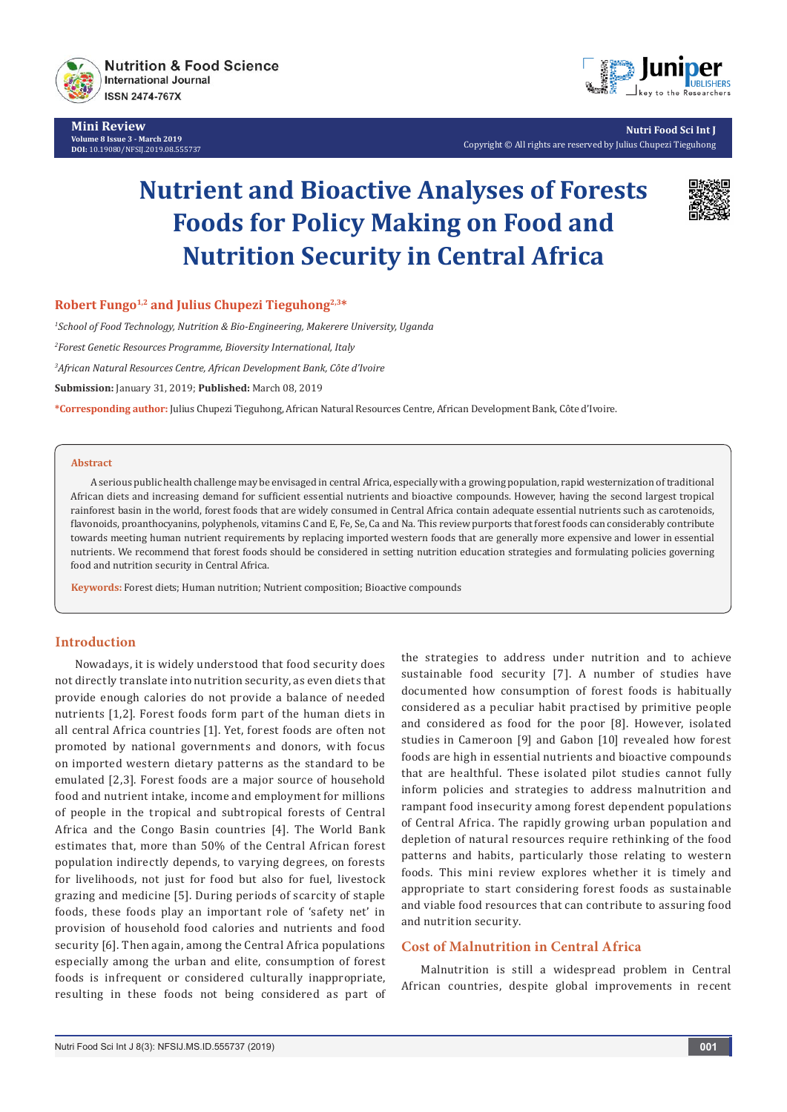

**Mini Review Volume 8 Issue 3 - March 2019 DOI:** [10.19080/NFSIJ.2019.08.555737](http://dx.doi.org/10.19080/NFSIJ.2019.08.555737)



**Nutri Food Sci Int J** Copyright © All rights are reserved by Julius Chupezi Tieguhong

# **Nutrient and Bioactive Analyses of Forests Foods for Policy Making on Food and Nutrition Security in Central Africa**



**Robert Fungo1,2 and Julius Chupezi Tieguhong2,3\***

*1 School of Food Technology, Nutrition & Bio-Engineering, Makerere University, Uganda*

*2 Forest Genetic Resources Programme, Bioversity International, Italy*

*3 African Natural Resources Centre, African Development Bank, Côte d'Ivoire*

**Submission:** January 31, 2019; **Published:** March 08, 2019

**\*Corresponding author:** Julius Chupezi Tieguhong, African Natural Resources Centre, African Development Bank, Côte d'Ivoire.

#### **Abstract**

A serious public health challenge may be envisaged in central Africa, especially with a growing population, rapid westernization of traditional African diets and increasing demand for sufficient essential nutrients and bioactive compounds. However, having the second largest tropical rainforest basin in the world, forest foods that are widely consumed in Central Africa contain adequate essential nutrients such as carotenoids, flavonoids, proanthocyanins, polyphenols, vitamins C and E, Fe, Se, Ca and Na. This review purports that forest foods can considerably contribute towards meeting human nutrient requirements by replacing imported western foods that are generally more expensive and lower in essential nutrients. We recommend that forest foods should be considered in setting nutrition education strategies and formulating policies governing food and nutrition security in Central Africa.

**Keywords:** Forest diets; Human nutrition; Nutrient composition; Bioactive compounds

## **Introduction**

Nowadays, it is widely understood that food security does not directly translate into nutrition security, as even diets that provide enough calories do not provide a balance of needed nutrients [1,2]. Forest foods form part of the human diets in all central Africa countries [1]. Yet, forest foods are often not promoted by national governments and donors, with focus on imported western dietary patterns as the standard to be emulated [2,3]. Forest foods are a major source of household food and nutrient intake, income and employment for millions of people in the tropical and subtropical forests of Central Africa and the Congo Basin countries [4]. The World Bank estimates that, more than 50% of the Central African forest population indirectly depends, to varying degrees, on forests for livelihoods, not just for food but also for fuel, livestock grazing and medicine [5]. During periods of scarcity of staple foods, these foods play an important role of 'safety net' in provision of household food calories and nutrients and food security [6]. Then again, among the Central Africa populations especially among the urban and elite, consumption of forest foods is infrequent or considered culturally inappropriate, resulting in these foods not being considered as part of the strategies to address under nutrition and to achieve sustainable food security [7]. A number of studies have documented how consumption of forest foods is habitually considered as a peculiar habit practised by primitive people and considered as food for the poor [8]. However, isolated studies in Cameroon [9] and Gabon [10] revealed how forest foods are high in essential nutrients and bioactive compounds that are healthful. These isolated pilot studies cannot fully inform policies and strategies to address malnutrition and rampant food insecurity among forest dependent populations of Central Africa. The rapidly growing urban population and depletion of natural resources require rethinking of the food patterns and habits, particularly those relating to western foods. This mini review explores whether it is timely and appropriate to start considering forest foods as sustainable and viable food resources that can contribute to assuring food and nutrition security.

## **Cost of Malnutrition in Central Africa**

Malnutrition is still a widespread problem in Central African countries, despite global improvements in recent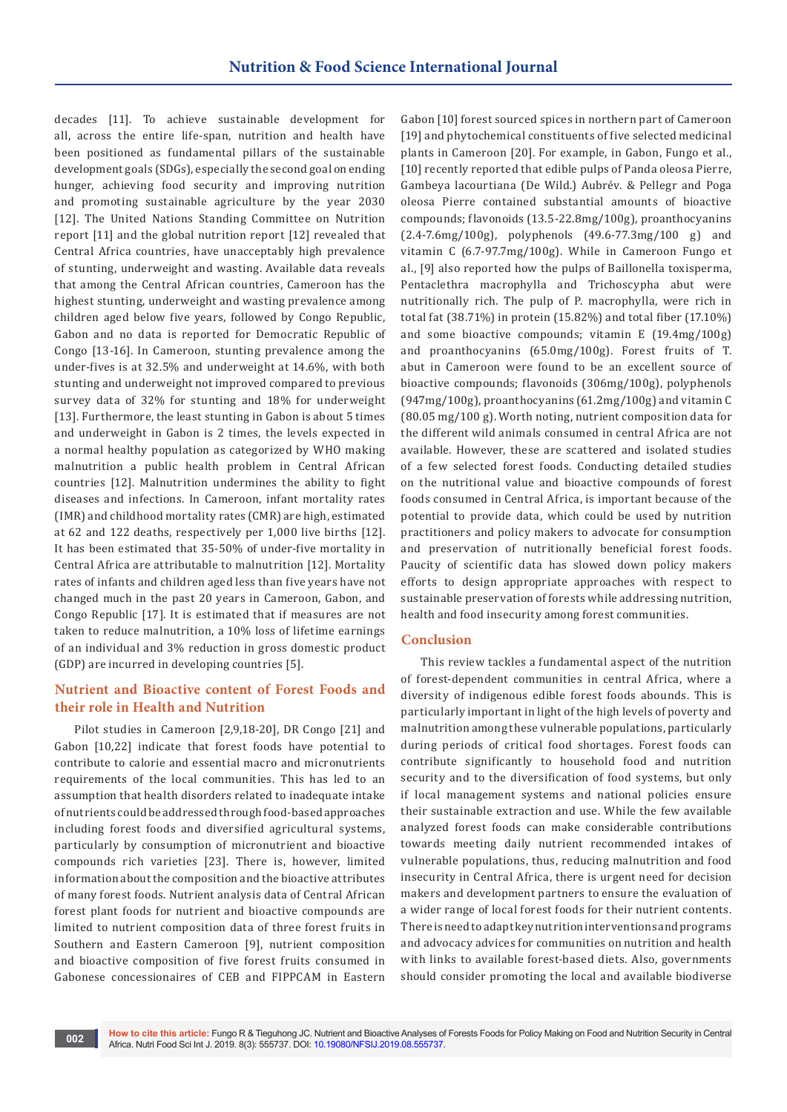decades [11]. To achieve sustainable development for all, across the entire life-span, nutrition and health have been positioned as fundamental pillars of the sustainable development goals (SDGs), especially the second goal on ending hunger, achieving food security and improving nutrition and promoting sustainable agriculture by the year 2030 [12]. The United Nations Standing Committee on Nutrition report [11] and the global nutrition report [12] revealed that Central Africa countries, have unacceptably high prevalence of stunting, underweight and wasting. Available data reveals that among the Central African countries, Cameroon has the highest stunting, underweight and wasting prevalence among children aged below five years, followed by Congo Republic, Gabon and no data is reported for Democratic Republic of Congo [13-16]. In Cameroon, stunting prevalence among the under-fives is at 32.5% and underweight at 14.6%, with both stunting and underweight not improved compared to previous survey data of 32% for stunting and 18% for underweight [13]. Furthermore, the least stunting in Gabon is about 5 times and underweight in Gabon is 2 times, the levels expected in a normal healthy population as categorized by WHO making malnutrition a public health problem in Central African countries [12]. Malnutrition undermines the ability to fight diseases and infections. In Cameroon, infant mortality rates (IMR) and childhood mortality rates (CMR) are high, estimated at 62 and 122 deaths, respectively per 1,000 live births [12]. It has been estimated that 35-50% of under-five mortality in Central Africa are attributable to malnutrition [12]. Mortality rates of infants and children aged less than five years have not changed much in the past 20 years in Cameroon, Gabon, and Congo Republic [17]. It is estimated that if measures are not taken to reduce malnutrition, a 10% loss of lifetime earnings of an individual and 3% reduction in gross domestic product (GDP) are incurred in developing countries [5].

## **Nutrient and Bioactive content of Forest Foods and their role in Health and Nutrition**

Pilot studies in Cameroon [2,9,18-20], DR Congo [21] and Gabon [10,22] indicate that forest foods have potential to contribute to calorie and essential macro and micronutrients requirements of the local communities. This has led to an assumption that health disorders related to inadequate intake of nutrients could be addressed through food-based approaches including forest foods and diversified agricultural systems, particularly by consumption of micronutrient and bioactive compounds rich varieties [23]. There is, however, limited information about the composition and the bioactive attributes of many forest foods. Nutrient analysis data of Central African forest plant foods for nutrient and bioactive compounds are limited to nutrient composition data of three forest fruits in Southern and Eastern Cameroon [9], nutrient composition and bioactive composition of five forest fruits consumed in Gabonese concessionaires of CEB and FIPPCAM in Eastern

Gabon [10] forest sourced spices in northern part of Cameroon [19] and phytochemical constituents of five selected medicinal plants in Cameroon [20]. For example, in Gabon, Fungo et al., [10] recently reported that edible pulps of Panda oleosa Pierre, Gambeya lacourtiana (De Wild.) Aubrév. & Pellegr and Poga oleosa Pierre contained substantial amounts of bioactive compounds; flavonoids (13.5-22.8mg/100g), proanthocyanins (2.4-7.6mg/100g), polyphenols (49.6-77.3mg/100 g) and vitamin C (6.7-97.7mg/100g). While in Cameroon Fungo et al., [9] also reported how the pulps of Baillonella toxisperma, Pentaclethra macrophylla and Trichoscypha abut were nutritionally rich. The pulp of P. macrophylla, were rich in total fat (38.71%) in protein (15.82%) and total fiber (17.10%) and some bioactive compounds; vitamin E (19.4mg/100g) and proanthocyanins (65.0mg/100g). Forest fruits of T. abut in Cameroon were found to be an excellent source of bioactive compounds; flavonoids (306mg/100g), polyphenols (947mg/100g), proanthocyanins (61.2mg/100g) and vitamin C (80.05 mg/100 g). Worth noting, nutrient composition data for the different wild animals consumed in central Africa are not available. However, these are scattered and isolated studies of a few selected forest foods. Conducting detailed studies on the nutritional value and bioactive compounds of forest foods consumed in Central Africa, is important because of the potential to provide data, which could be used by nutrition practitioners and policy makers to advocate for consumption and preservation of nutritionally beneficial forest foods. Paucity of scientific data has slowed down policy makers efforts to design appropriate approaches with respect to sustainable preservation of forests while addressing nutrition, health and food insecurity among forest communities.

### **Conclusion**

This review tackles a fundamental aspect of the nutrition of forest-dependent communities in central Africa, where a diversity of indigenous edible forest foods abounds. This is particularly important in light of the high levels of poverty and malnutrition among these vulnerable populations, particularly during periods of critical food shortages. Forest foods can contribute significantly to household food and nutrition security and to the diversification of food systems, but only if local management systems and national policies ensure their sustainable extraction and use. While the few available analyzed forest foods can make considerable contributions towards meeting daily nutrient recommended intakes of vulnerable populations, thus, reducing malnutrition and food insecurity in Central Africa, there is urgent need for decision makers and development partners to ensure the evaluation of a wider range of local forest foods for their nutrient contents. There is need to adapt key nutrition interventions and programs and advocacy advices for communities on nutrition and health with links to available forest-based diets. Also, governments should consider promoting the local and available biodiverse